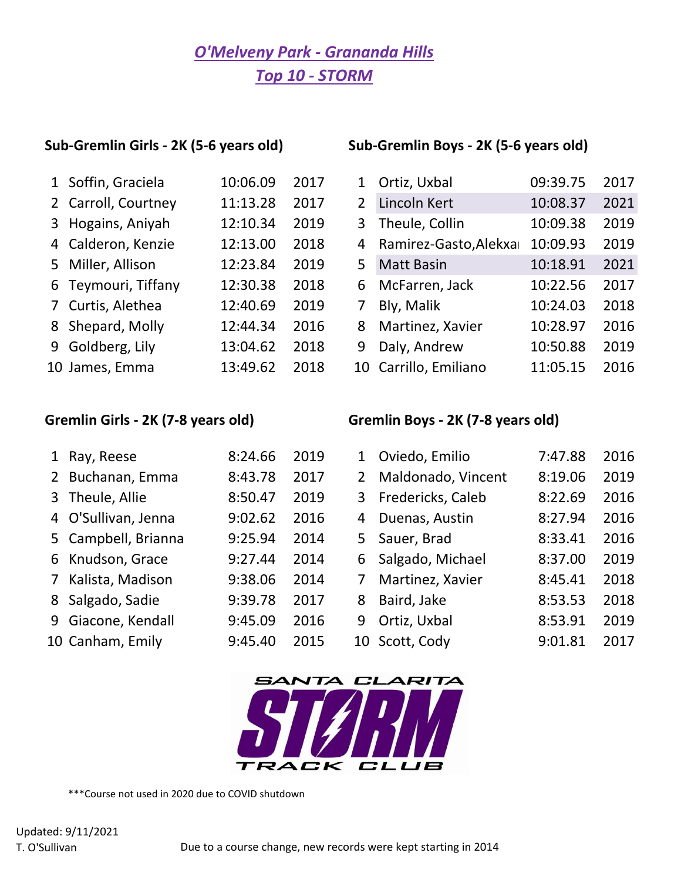# *O'Melveny Park - Grananda Hills Top 10 - STORM*

## **Sub-Gremlin Girls - 2K (5-6 years old) Sub-Gremlin Boys - 2K (5-6 years old)**

| 1 Soffin, Graciela  | 10:06.09 | 2017 |
|---------------------|----------|------|
| 2 Carroll, Courtney | 11:13.28 | 2017 |
| 3 Hogains, Aniyah   | 12:10.34 | 2019 |
| 4 Calderon, Kenzie  | 12:13.00 | 2018 |
| 5 Miller, Allison   | 12:23.84 | 2019 |
| 6 Teymouri, Tiffany | 12:30.38 | 2018 |
| 7 Curtis, Alethea   | 12:40.69 | 2019 |
| 8 Shepard, Molly    | 12:44.34 | 2016 |
| 9 Goldberg, Lily    | 13:04.62 | 2018 |
| 10 James, Emma      | 13:49.62 | 2018 |

| 1 Soffin, Graciela  | 10:06.09 | 2017 | 1              | Ortiz, Uxbal            | 09:39.75 | 2017 |
|---------------------|----------|------|----------------|-------------------------|----------|------|
| 2 Carroll, Courtney | 11:13.28 | 2017 | $\overline{2}$ | Lincoln Kert            | 10:08.37 | 2021 |
| 3 Hogains, Aniyah   | 12:10.34 | 2019 |                | 3 Theule, Collin        | 10:09.38 | 2019 |
| 4 Calderon, Kenzie  | 12:13.00 | 2018 |                | 4 Ramirez-Gasto, Alekxa | 10:09.93 | 2019 |
| 5 Miller, Allison   | 12:23.84 | 2019 | 5              | <b>Matt Basin</b>       | 10:18.91 | 2021 |
| 6 Teymouri, Tiffany | 12:30.38 | 2018 |                | 6 McFarren, Jack        | 10:22.56 | 2017 |
| 7 Curtis, Alethea   | 12:40.69 | 2019 | $7^{\circ}$    | Bly, Malik              | 10:24.03 | 2018 |
| 8 Shepard, Molly    | 12:44.34 | 2016 |                | 8 Martinez, Xavier      | 10:28.97 | 2016 |
| 9 Goldberg, Lily    | 13:04.62 | 2018 | 9              | Daly, Andrew            | 10:50.88 | 2019 |
| 10 James, Emma      | 13:49.62 | 2018 |                | 10 Carrillo, Emiliano   | 11:05.15 | 2016 |

## **Gremlin Girls - 2K (7-8 years old) Gremlin Boys - 2K (7-8 years old)**

|                | 1 Ray, Reese        | 8:24.66 | 2019 | $1 \ \mathbf{1}$ | Oviedo, Emilio      | 7:47.88 | 2016 |
|----------------|---------------------|---------|------|------------------|---------------------|---------|------|
|                | 2 Buchanan, Emma    | 8:43.78 | 2017 | $\mathbf{2}$     | Maldonado, Vincent  | 8:19.06 | 2019 |
|                | 3 Theule, Allie     | 8:50.47 | 2019 |                  | 3 Fredericks, Caleb | 8:22.69 | 2016 |
|                | 4 O'Sullivan, Jenna | 9:02.62 | 2016 | 4                | Duenas, Austin      | 8:27.94 | 2016 |
|                | 5 Campbell, Brianna | 9:25.94 | 2014 |                  | 5 Sauer, Brad       | 8:33.41 | 2016 |
|                | 6 Knudson, Grace    | 9:27.44 | 2014 | 6                | Salgado, Michael    | 8:37.00 | 2019 |
| 7 <sup>7</sup> | Kalista, Madison    | 9:38.06 | 2014 | 7                | Martinez, Xavier    | 8:45.41 | 2018 |
|                | 8 Salgado, Sadie    | 9:39.78 | 2017 | 8                | Baird, Jake         | 8:53.53 | 2018 |
|                | 9 Giacone, Kendall  | 9:45.09 | 2016 | 9                | Ortiz, Uxbal        | 8:53.91 | 2019 |
|                | 10 Canham, Emily    | 9:45.40 | 2015 |                  | 10 Scott, Cody      | 9:01.81 | 2017 |



\*\*\*Course not used in 2020 due to COVID shutdown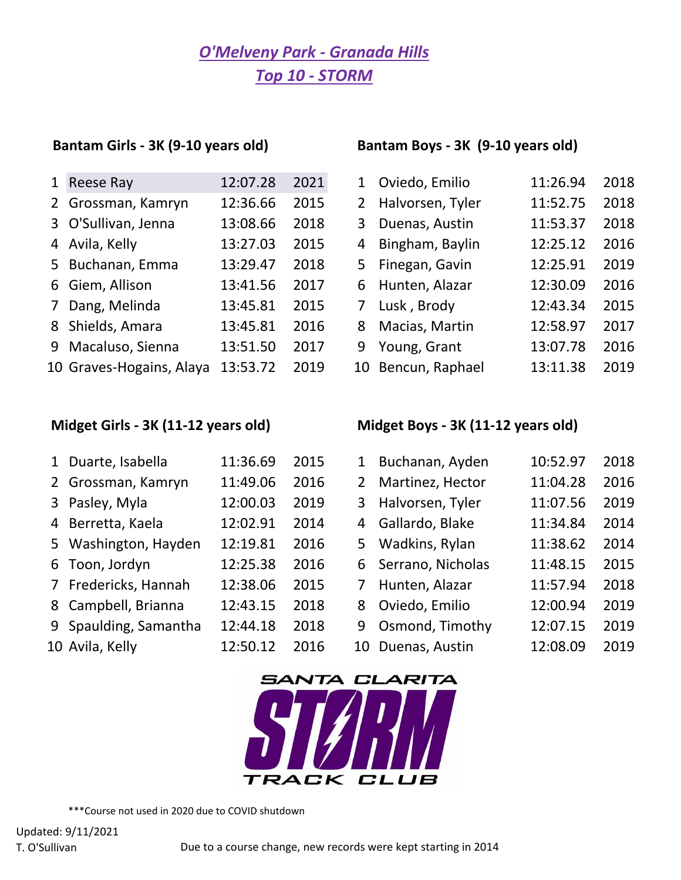# *O'Melveny Park - Granada Hills Top 10 - STORM*

| $\mathbf{1}$ | <b>Reese Ray</b>         | 12:07.28 | 2021 |
|--------------|--------------------------|----------|------|
|              | 2 Grossman, Kamryn       | 12:36.66 | 2015 |
|              | 3 O'Sullivan, Jenna      | 13:08.66 | 2018 |
|              | 4 Avila, Kelly           | 13:27.03 | 2015 |
|              | 5 Buchanan, Emma         | 13:29.47 | 2018 |
|              | 6 Giem, Allison          | 13:41.56 | 2017 |
| $7^{\circ}$  | Dang, Melinda            | 13:45.81 | 2015 |
|              | 8 Shields, Amara         | 13:45.81 | 2016 |
|              | 9 Macaluso, Sienna       | 13:51.50 | 2017 |
|              | 10 Graves-Hogains, Alava | 13:53.72 | 2019 |

## **Midget Girls - 3K (11-12 years old) Midget Boys - 3K (11-12 years old)**

### **Bantam Girls - 3K (9-10 years old) Bantam Boys - 3K (9-10 years old)**

| 1 <sup>1</sup> | Reese Ray                | 12:07.28 | 2021 | 1 Oviedo, Emilio   | 11:26.94 | 2018 |
|----------------|--------------------------|----------|------|--------------------|----------|------|
|                | 2 Grossman, Kamryn       | 12:36.66 | 2015 | 2 Halvorsen, Tyler | 11:52.75 | 2018 |
|                | 3 O'Sullivan, Jenna      | 13:08.66 | 2018 | 3 Duenas, Austin   | 11:53.37 | 2018 |
|                | 4 Avila, Kelly           | 13:27.03 | 2015 | 4 Bingham, Baylin  | 12:25.12 | 2016 |
|                | 5 Buchanan, Emma         | 13:29.47 | 2018 | 5 Finegan, Gavin   | 12:25.91 | 2019 |
|                | 6 Giem, Allison          | 13:41.56 | 2017 | 6 Hunten, Alazar   | 12:30.09 | 2016 |
|                | 7 Dang, Melinda          | 13:45.81 | 2015 | 7 Lusk, Brody      | 12:43.34 | 2015 |
|                | 8 Shields, Amara         | 13:45.81 | 2016 | 8 Macias, Martin   | 12:58.97 | 2017 |
|                | 9 Macaluso, Sienna       | 13:51.50 | 2017 | 9 Young, Grant     | 13:07.78 | 2016 |
|                | 10 Graves-Hogains, Alaya | 13:53.72 | 2019 | 10 Bencun, Raphael | 13:11.38 | 2019 |

| 1 Duarte, Isabella    | 11:36.69 | 2015 | $\mathbf{1}$ | Buchanan, Ayden     | 10:52.97 | 2018 |
|-----------------------|----------|------|--------------|---------------------|----------|------|
| 2 Grossman, Kamryn    | 11:49.06 | 2016 | $2^{\circ}$  | Martinez, Hector    | 11:04.28 | 2016 |
| 3 Pasley, Myla        | 12:00.03 | 2019 | 3            | Halvorsen, Tyler    | 11:07.56 | 2019 |
| 4 Berretta, Kaela     | 12:02.91 | 2014 | 4            | Gallardo, Blake     | 11:34.84 | 2014 |
| 5 Washington, Hayden  | 12:19.81 | 2016 |              | 5 Wadkins, Rylan    | 11:38.62 | 2014 |
| 6 Toon, Jordyn        | 12:25.38 | 2016 |              | 6 Serrano, Nicholas | 11:48.15 | 2015 |
| 7 Fredericks, Hannah  | 12:38.06 | 2015 | 7            | Hunten, Alazar      | 11:57.94 | 2018 |
| 8 Campbell, Brianna   | 12:43.15 | 2018 | 8            | Oviedo, Emilio      | 12:00.94 | 2019 |
| 9 Spaulding, Samantha | 12:44.18 | 2018 | 9            | Osmond, Timothy     | 12:07.15 | 2019 |
| 10 Avila, Kelly       | 12:50.12 | 2016 |              | 10 Duenas, Austin   | 12:08.09 | 2019 |
|                       |          |      |              |                     |          |      |



\*\*\*Course not used in 2020 due to COVID shutdown